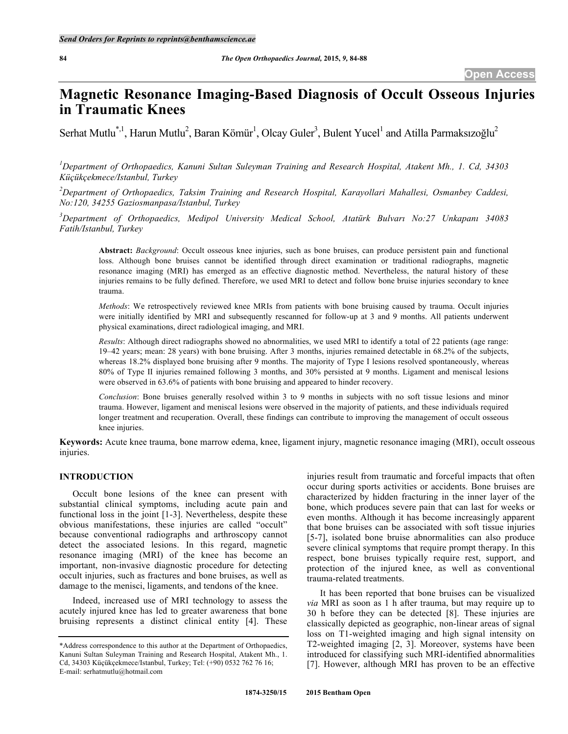# **Magnetic Resonance Imaging-Based Diagnosis of Occult Osseous Injuries in Traumatic Knees**

Serhat Mutlu<sup>\*, 1</sup>, Harun Mutlu<sup>2</sup>, Baran Kömür<sup>1</sup>, Olcay Guler<sup>3</sup>, Bulent Yucel<sup>1</sup> and Atilla Parmaksızoğlu<sup>2</sup>

*1 Department of Orthopaedics, Kanuni Sultan Suleyman Training and Research Hospital, Atakent Mh., 1. Cd, 34303 Küçükçekmece/Istanbul, Turkey*

*2 Department of Orthopaedics, Taksim Training and Research Hospital, Karayollari Mahallesi, Osmanbey Caddesi, No:120, 34255 Gaziosmanpasa/Istanbul, Turkey*

*3 Department of Orthopaedics, Medipol University Medical School, Atatürk Bulvarı No:27 Unkapanı 34083 Fatih/Istanbul, Turkey*

**Abstract:** *Background*: Occult osseous knee injuries, such as bone bruises, can produce persistent pain and functional loss. Although bone bruises cannot be identified through direct examination or traditional radiographs, magnetic resonance imaging (MRI) has emerged as an effective diagnostic method. Nevertheless, the natural history of these injuries remains to be fully defined. Therefore, we used MRI to detect and follow bone bruise injuries secondary to knee trauma.

*Methods*: We retrospectively reviewed knee MRIs from patients with bone bruising caused by trauma. Occult injuries were initially identified by MRI and subsequently rescanned for follow-up at 3 and 9 months. All patients underwent physical examinations, direct radiological imaging, and MRI.

*Results*: Although direct radiographs showed no abnormalities, we used MRI to identify a total of 22 patients (age range: 19–42 years; mean: 28 years) with bone bruising. After 3 months, injuries remained detectable in 68.2% of the subjects, whereas 18.2% displayed bone bruising after 9 months. The majority of Type I lesions resolved spontaneously, whereas 80% of Type II injuries remained following 3 months, and 30% persisted at 9 months. Ligament and meniscal lesions were observed in 63.6% of patients with bone bruising and appeared to hinder recovery.

*Conclusion*: Bone bruises generally resolved within 3 to 9 months in subjects with no soft tissue lesions and minor trauma. However, ligament and meniscal lesions were observed in the majority of patients, and these individuals required longer treatment and recuperation. Overall, these findings can contribute to improving the management of occult osseous knee injuries.

**Keywords:** Acute knee trauma, bone marrow edema, knee, ligament injury, magnetic resonance imaging (MRI), occult osseous injuries.

#### **INTRODUCTION**

Occult bone lesions of the knee can present with substantial clinical symptoms, including acute pain and functional loss in the joint [1-3]. Nevertheless, despite these obvious manifestations, these injuries are called "occult" because conventional radiographs and arthroscopy cannot detect the associated lesions. In this regard, magnetic resonance imaging (MRI) of the knee has become an important, non-invasive diagnostic procedure for detecting occult injuries, such as fractures and bone bruises, as well as damage to the menisci, ligaments, and tendons of the knee.

Indeed, increased use of MRI technology to assess the acutely injured knee has led to greater awareness that bone bruising represents a distinct clinical entity [4]. These

injuries result from traumatic and forceful impacts that often occur during sports activities or accidents. Bone bruises are characterized by hidden fracturing in the inner layer of the bone, which produces severe pain that can last for weeks or even months. Although it has become increasingly apparent that bone bruises can be associated with soft tissue injuries [5-7], isolated bone bruise abnormalities can also produce severe clinical symptoms that require prompt therapy. In this respect, bone bruises typically require rest, support, and protection of the injured knee, as well as conventional trauma-related treatments.

It has been reported that bone bruises can be visualized *via* MRI as soon as 1 h after trauma, but may require up to 30 h before they can be detected [8]. These injuries are classically depicted as geographic, non-linear areas of signal loss on T1-weighted imaging and high signal intensity on T2-weighted imaging [2, 3]. Moreover, systems have been introduced for classifying such MRI-identified abnormalities [7]. However, although MRI has proven to be an effective

<sup>\*</sup>Address correspondence to this author at the Department of Orthopaedics, Kanuni Sultan Suleyman Training and Research Hospital, Atakent Mh., 1. Cd, 34303 Küçükçekmece/Istanbul, Turkey; Tel: (+90) 0532 762 76 16; E-mail: serhatmutlu@hotmail.com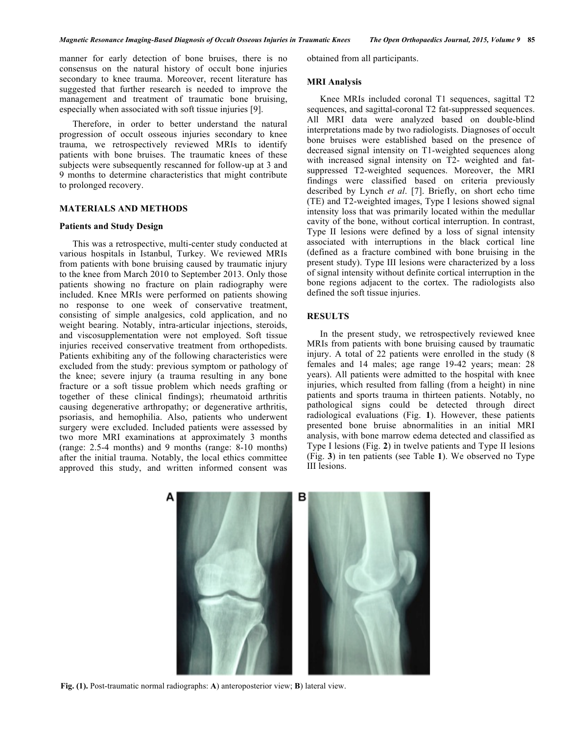manner for early detection of bone bruises, there is no consensus on the natural history of occult bone injuries secondary to knee trauma. Moreover, recent literature has suggested that further research is needed to improve the management and treatment of traumatic bone bruising, especially when associated with soft tissue injuries [9].

Therefore, in order to better understand the natural progression of occult osseous injuries secondary to knee trauma, we retrospectively reviewed MRIs to identify patients with bone bruises. The traumatic knees of these subjects were subsequently rescanned for follow-up at 3 and 9 months to determine characteristics that might contribute to prolonged recovery.

# **MATERIALS AND METHODS**

#### **Patients and Study Design**

This was a retrospective, multi-center study conducted at various hospitals in Istanbul, Turkey. We reviewed MRIs from patients with bone bruising caused by traumatic injury to the knee from March 2010 to September 2013. Only those patients showing no fracture on plain radiography were included. Knee MRIs were performed on patients showing no response to one week of conservative treatment, consisting of simple analgesics, cold application, and no weight bearing. Notably, intra-articular injections, steroids, and viscosupplementation were not employed. Soft tissue injuries received conservative treatment from orthopedists. Patients exhibiting any of the following characteristics were excluded from the study: previous symptom or pathology of the knee; severe injury (a trauma resulting in any bone fracture or a soft tissue problem which needs grafting or together of these clinical findings); rheumatoid arthritis causing degenerative arthropathy; or degenerative arthritis, psoriasis, and hemophilia. Also, patients who underwent surgery were excluded. Included patients were assessed by two more MRI examinations at approximately 3 months (range: 2.5-4 months) and 9 months (range: 8-10 months) after the initial trauma. Notably, the local ethics committee approved this study, and written informed consent was

obtained from all participants.

# **MRI Analysis**

Knee MRIs included coronal T1 sequences, sagittal T2 sequences, and sagittal-coronal T2 fat-suppressed sequences. All MRI data were analyzed based on double-blind interpretations made by two radiologists. Diagnoses of occult bone bruises were established based on the presence of decreased signal intensity on T1-weighted sequences along with increased signal intensity on T2- weighted and fatsuppressed T2-weighted sequences. Moreover, the MRI findings were classified based on criteria previously described by Lynch *et al*. [7]. Briefly, on short echo time (TE) and T2-weighted images, Type I lesions showed signal intensity loss that was primarily located within the medullar cavity of the bone, without cortical interruption. In contrast, Type II lesions were defined by a loss of signal intensity associated with interruptions in the black cortical line (defined as a fracture combined with bone bruising in the present study). Type III lesions were characterized by a loss of signal intensity without definite cortical interruption in the bone regions adjacent to the cortex. The radiologists also defined the soft tissue injuries.

## **RESULTS**

In the present study, we retrospectively reviewed knee MRIs from patients with bone bruising caused by traumatic injury. A total of 22 patients were enrolled in the study (8 females and 14 males; age range 19-42 years; mean: 28 years). All patients were admitted to the hospital with knee injuries, which resulted from falling (from a height) in nine patients and sports trauma in thirteen patients. Notably, no pathological signs could be detected through direct radiological evaluations (Fig. **1**). However, these patients presented bone bruise abnormalities in an initial MRI analysis, with bone marrow edema detected and classified as Type I lesions (Fig. **2**) in twelve patients and Type II lesions (Fig. **3**) in ten patients (see Table **1**). We observed no Type III lesions.



**Fig. (1).** Post-traumatic normal radiographs: **A**) anteroposterior view; **B**) lateral view.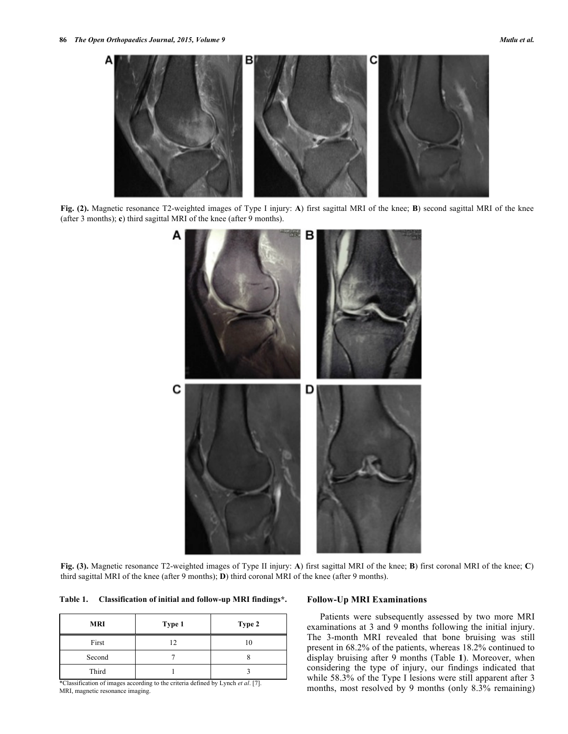

**Fig. (2).** Magnetic resonance T2-weighted images of Type I injury: **A**) first sagittal MRI of the knee; **B**) second sagittal MRI of the knee (after 3 months); **c**) third sagittal MRI of the knee (after 9 months).



**Fig. (3).** Magnetic resonance T2-weighted images of Type II injury: **A**) first sagittal MRI of the knee; **B**) first coronal MRI of the knee; **C**) third sagittal MRI of the knee (after 9 months); **D**) third coronal MRI of the knee (after 9 months).

**Table 1. Classification of initial and follow-up MRI findings\*.**

| MRI    | Type 1 | Type 2 |
|--------|--------|--------|
| First  |        |        |
| Second |        |        |
| Third  |        |        |

\*Classification of images according to the criteria defined by Lynch *et al*. [7]. MRI, magnetic resonance imaging.

# **Follow-Up MRI Examinations**

Patients were subsequently assessed by two more MRI examinations at 3 and 9 months following the initial injury. The 3-month MRI revealed that bone bruising was still present in 68.2% of the patients, whereas 18.2% continued to display bruising after 9 months (Table **1**). Moreover, when considering the type of injury, our findings indicated that while 58.3% of the Type I lesions were still apparent after 3 months, most resolved by 9 months (only 8.3% remaining)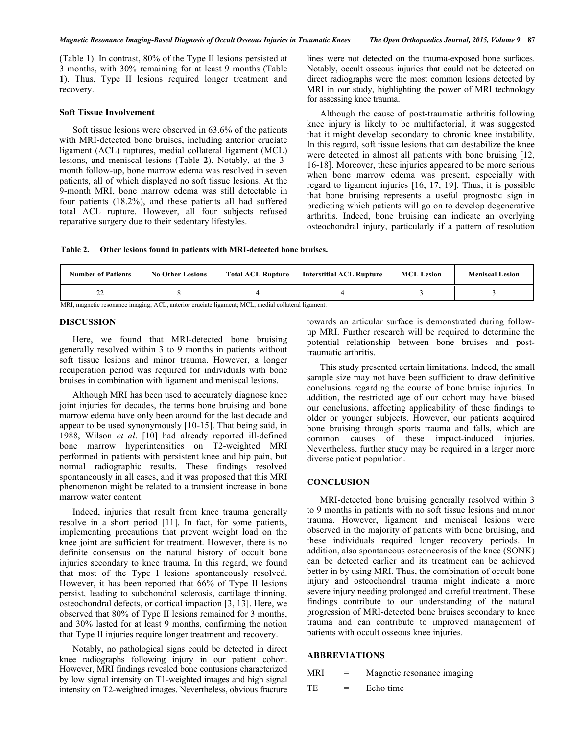(Table **1**). In contrast, 80% of the Type II lesions persisted at 3 months, with 30% remaining for at least 9 months (Table **1**). Thus, Type II lesions required longer treatment and recovery.

#### **Soft Tissue Involvement**

Soft tissue lesions were observed in 63.6% of the patients with MRI-detected bone bruises, including anterior cruciate ligament (ACL) ruptures, medial collateral ligament (MCL) lesions, and meniscal lesions (Table **2**). Notably, at the 3 month follow-up, bone marrow edema was resolved in seven patients, all of which displayed no soft tissue lesions. At the 9-month MRI, bone marrow edema was still detectable in four patients (18.2%), and these patients all had suffered total ACL rupture. However, all four subjects refused reparative surgery due to their sedentary lifestyles.

lines were not detected on the trauma-exposed bone surfaces. Notably, occult osseous injuries that could not be detected on direct radiographs were the most common lesions detected by MRI in our study, highlighting the power of MRI technology for assessing knee trauma.

Although the cause of post-traumatic arthritis following knee injury is likely to be multifactorial, it was suggested that it might develop secondary to chronic knee instability. In this regard, soft tissue lesions that can destabilize the knee were detected in almost all patients with bone bruising [12, 16-18]. Moreover, these injuries appeared to be more serious when bone marrow edema was present, especially with regard to ligament injuries [16, 17, 19]. Thus, it is possible that bone bruising represents a useful prognostic sign in predicting which patients will go on to develop degenerative arthritis. Indeed, bone bruising can indicate an overlying osteochondral injury, particularly if a pattern of resolution

**Table 2. Other lesions found in patients with MRI-detected bone bruises.**

| <b>Number of Patients</b><br><b>No Other Lesions</b> | <b>Total ACL Rupture</b> | <b>Interstitial ACL Rupture</b> | <b>MCL Lesion</b> | <b>Meniscal Lesion</b> |
|------------------------------------------------------|--------------------------|---------------------------------|-------------------|------------------------|
| ∸                                                    |                          |                                 |                   |                        |

MRI, magnetic resonance imaging; ACL, anterior cruciate ligament; MCL, medial collateral ligament.

#### **DISCUSSION**

Here, we found that MRI-detected bone bruising generally resolved within 3 to 9 months in patients without soft tissue lesions and minor trauma. However, a longer recuperation period was required for individuals with bone bruises in combination with ligament and meniscal lesions.

Although MRI has been used to accurately diagnose knee joint injuries for decades, the terms bone bruising and bone marrow edema have only been around for the last decade and appear to be used synonymously [10-15]. That being said, in 1988, Wilson *et al*. [10] had already reported ill-defined bone marrow hyperintensities on T2-weighted MRI performed in patients with persistent knee and hip pain, but normal radiographic results. These findings resolved spontaneously in all cases, and it was proposed that this MRI phenomenon might be related to a transient increase in bone marrow water content.

Indeed, injuries that result from knee trauma generally resolve in a short period [11]. In fact, for some patients, implementing precautions that prevent weight load on the knee joint are sufficient for treatment. However, there is no definite consensus on the natural history of occult bone injuries secondary to knee trauma. In this regard, we found that most of the Type I lesions spontaneously resolved. However, it has been reported that 66% of Type II lesions persist, leading to subchondral sclerosis, cartilage thinning, osteochondral defects, or cortical impaction [3, 13]. Here, we observed that 80% of Type II lesions remained for 3 months, and 30% lasted for at least 9 months, confirming the notion that Type II injuries require longer treatment and recovery.

Notably, no pathological signs could be detected in direct knee radiographs following injury in our patient cohort. However, MRI findings revealed bone contusions characterized by low signal intensity on T1-weighted images and high signal intensity on T2-weighted images. Nevertheless, obvious fracture

towards an articular surface is demonstrated during followup MRI. Further research will be required to determine the potential relationship between bone bruises and posttraumatic arthritis.

This study presented certain limitations. Indeed, the small sample size may not have been sufficient to draw definitive conclusions regarding the course of bone bruise injuries. In addition, the restricted age of our cohort may have biased our conclusions, affecting applicability of these findings to older or younger subjects. However, our patients acquired bone bruising through sports trauma and falls, which are common causes of these impact-induced injuries. Nevertheless, further study may be required in a larger more diverse patient population.

## **CONCLUSION**

MRI-detected bone bruising generally resolved within 3 to 9 months in patients with no soft tissue lesions and minor trauma. However, ligament and meniscal lesions were observed in the majority of patients with bone bruising, and these individuals required longer recovery periods. In addition, also spontaneous osteonecrosis of the knee (SONK) can be detected earlier and its treatment can be achieved better in by using MRI. Thus, the combination of occult bone injury and osteochondral trauma might indicate a more severe injury needing prolonged and careful treatment. These findings contribute to our understanding of the natural progression of MRI-detected bone bruises secondary to knee trauma and can contribute to improved management of patients with occult osseous knee injuries.

## **ABBREVIATIONS**

| MRI | Magnetic resonance imaging |  |
|-----|----------------------------|--|
|-----|----------------------------|--|

 $TE =$  Echo time